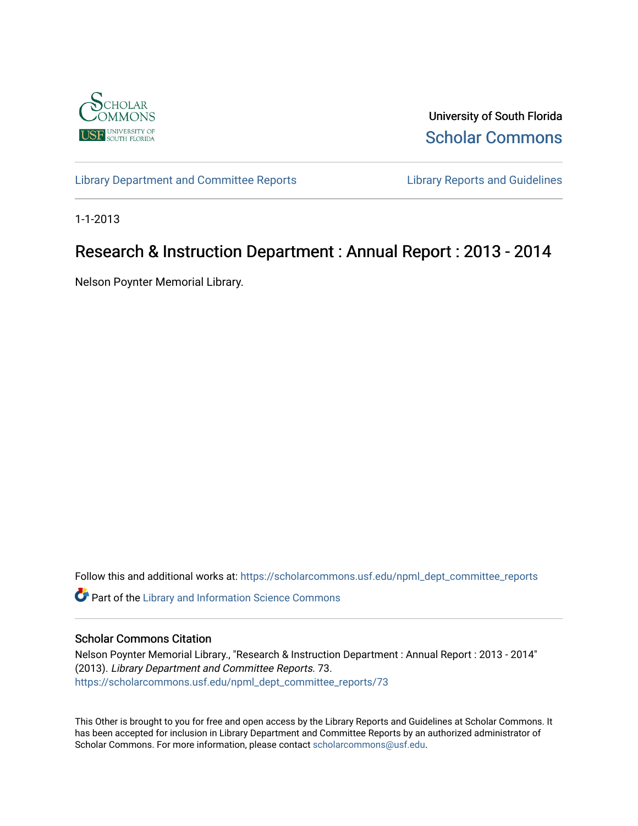

University of South Florida [Scholar Commons](https://scholarcommons.usf.edu/) 

[Library Department and Committee Reports](https://scholarcommons.usf.edu/npml_dept_committee_reports) [Library Reports and Guidelines](https://scholarcommons.usf.edu/npml_reports_guidelines_instruct_materials) 

1-1-2013

# Research & Instruction Department : Annual Report : 2013 - 2014

Nelson Poynter Memorial Library.

Follow this and additional works at: [https://scholarcommons.usf.edu/npml\\_dept\\_committee\\_reports](https://scholarcommons.usf.edu/npml_dept_committee_reports?utm_source=scholarcommons.usf.edu%2Fnpml_dept_committee_reports%2F73&utm_medium=PDF&utm_campaign=PDFCoverPages)

Part of the [Library and Information Science Commons](http://network.bepress.com/hgg/discipline/1018?utm_source=scholarcommons.usf.edu%2Fnpml_dept_committee_reports%2F73&utm_medium=PDF&utm_campaign=PDFCoverPages) 

#### Scholar Commons Citation

Nelson Poynter Memorial Library., "Research & Instruction Department : Annual Report : 2013 - 2014" (2013). Library Department and Committee Reports. 73. [https://scholarcommons.usf.edu/npml\\_dept\\_committee\\_reports/73](https://scholarcommons.usf.edu/npml_dept_committee_reports/73?utm_source=scholarcommons.usf.edu%2Fnpml_dept_committee_reports%2F73&utm_medium=PDF&utm_campaign=PDFCoverPages) 

This Other is brought to you for free and open access by the Library Reports and Guidelines at Scholar Commons. It has been accepted for inclusion in Library Department and Committee Reports by an authorized administrator of Scholar Commons. For more information, please contact [scholarcommons@usf.edu](mailto:scholarcommons@usf.edu).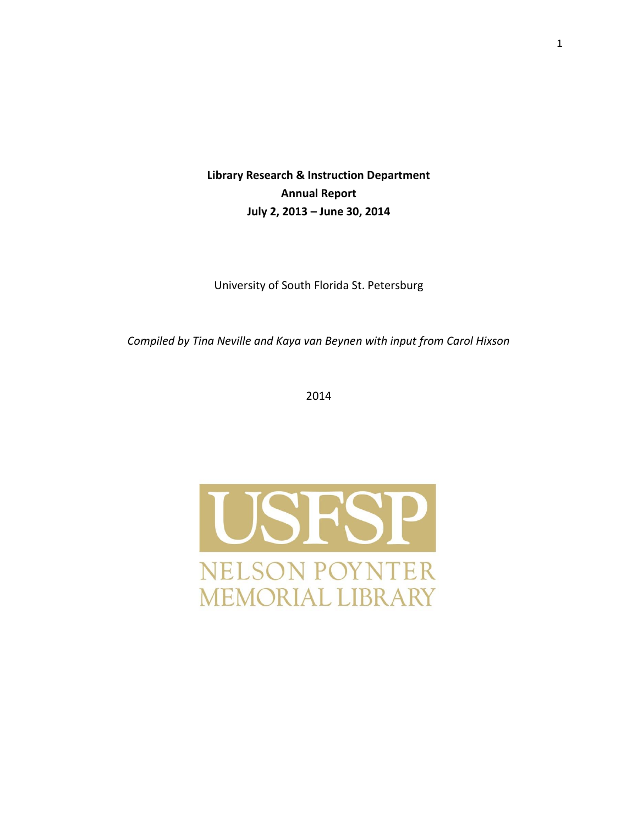**Library Research & Instruction Department Annual Report July 2, 2013 – June 30, 2014**

University of South Florida St. Petersburg

*Compiled by Tina Neville and Kaya van Beynen with input from Carol Hixson* 

2014

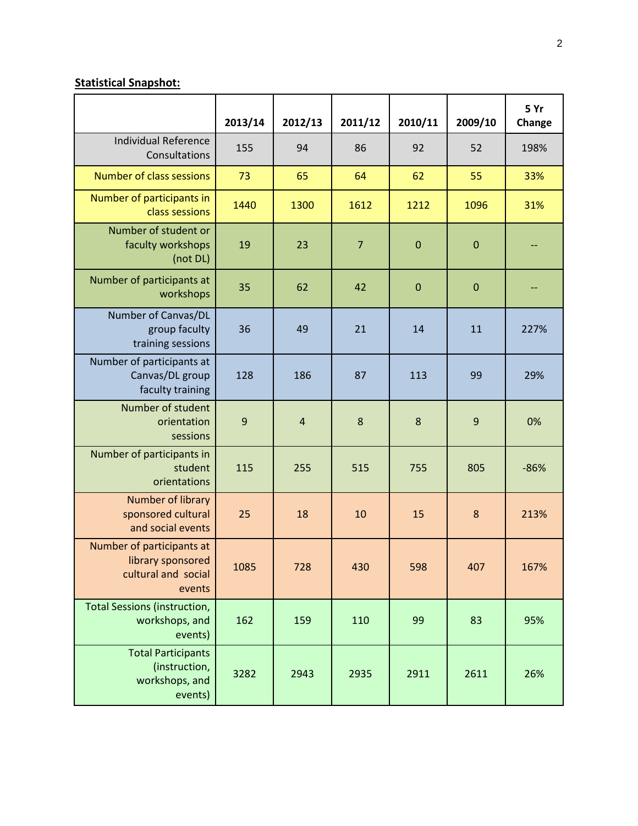# **Statistical Snapshot:**

|                                                                                 | 2013/14        | 2012/13        | 2011/12        | 2010/11      | 2009/10     | 5 Yr<br>Change |
|---------------------------------------------------------------------------------|----------------|----------------|----------------|--------------|-------------|----------------|
| <b>Individual Reference</b><br>Consultations                                    | 155            | 94             | 86             | 92           | 52          | 198%           |
| <b>Number of class sessions</b>                                                 | 73             | 65             | 64             | 62           | 55          | 33%            |
| Number of participants in<br>class sessions                                     | 1440           | 1300           | 1612           | 1212         | 1096        | 31%            |
| Number of student or<br>faculty workshops<br>(not DL)                           | 19             | 23             | $\overline{7}$ | $\mathbf{0}$ | $\mathbf 0$ |                |
| Number of participants at<br>workshops                                          | 35             | 62             | 42             | $\mathbf{0}$ | $\mathbf 0$ |                |
| Number of Canvas/DL<br>group faculty<br>training sessions                       | 36             | 49             | 21             | 14           | 11          | 227%           |
| Number of participants at<br>Canvas/DL group<br>faculty training                | 128            | 186            | 87             | 113          | 99          | 29%            |
| Number of student<br>orientation<br>sessions                                    | $\overline{9}$ | $\overline{4}$ | 8              | 8            | 9           | 0%             |
| Number of participants in<br>student<br>orientations                            | 115            | 255            | 515            | 755          | 805         | $-86%$         |
| Number of library<br>sponsored cultural<br>and social events                    | 25             | 18             | 10             | 15           | 8           | 213%           |
| Number of participants at<br>library sponsored<br>cultural and social<br>events | 1085           | 728            | 430            | 598          | 407         | 167%           |
| <b>Total Sessions (instruction,</b><br>workshops, and<br>events)                | 162            | 159            | 110            | 99           | 83          | 95%            |
| <b>Total Participants</b><br>(instruction,<br>workshops, and<br>events)         | 3282           | 2943           | 2935           | 2911         | 2611        | 26%            |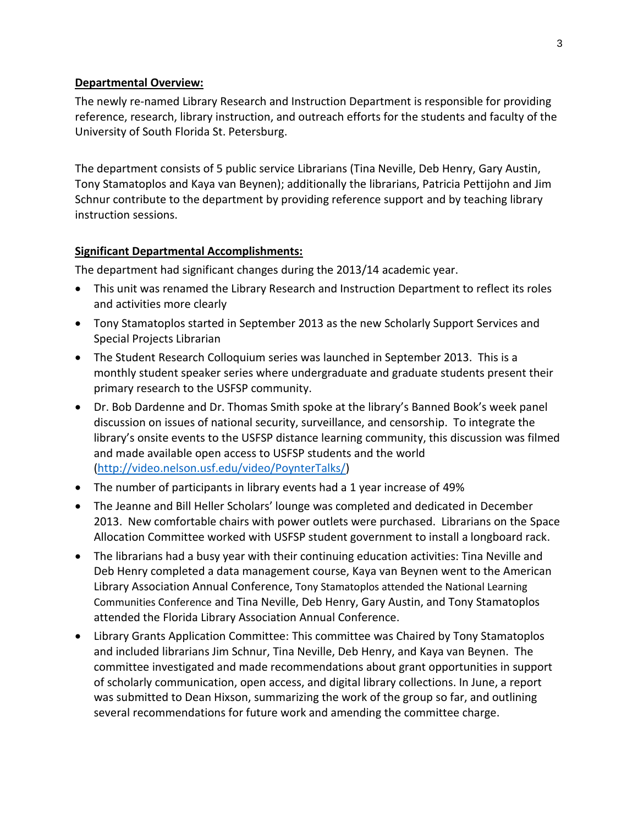## **Departmental Overview:**

The newly re-named Library Research and Instruction Department is responsible for providing reference, research, library instruction, and outreach efforts for the students and faculty of the University of South Florida St. Petersburg.

The department consists of 5 public service Librarians (Tina Neville, Deb Henry, Gary Austin, Tony Stamatoplos and Kaya van Beynen); additionally the librarians, Patricia Pettijohn and Jim Schnur contribute to the department by providing reference support and by teaching library instruction sessions.

## **Significant Departmental Accomplishments:**

The department had significant changes during the 2013/14 academic year.

- This unit was renamed the Library Research and Instruction Department to reflect its roles and activities more clearly
- Tony Stamatoplos started in September 2013 as the new Scholarly Support Services and Special Projects Librarian
- The Student Research Colloquium series was launched in September 2013. This is a monthly student speaker series where undergraduate and graduate students present their primary research to the USFSP community.
- Dr. Bob Dardenne and Dr. Thomas Smith spoke at the library's Banned Book's week panel discussion on issues of national security, surveillance, and censorship. To integrate the library's onsite events to the USFSP distance learning community, this discussion was filmed and made available open access to USFSP students and the world [\(http://video.nelson.usf.edu/video/PoynterTalks/\)](http://video.nelson.usf.edu/video/PoynterTalks/)
- The number of participants in library events had a 1 year increase of 49%
- The Jeanne and Bill Heller Scholars' lounge was completed and dedicated in December 2013. New comfortable chairs with power outlets were purchased. Librarians on the Space Allocation Committee worked with USFSP student government to install a longboard rack.
- The librarians had a busy year with their continuing education activities: Tina Neville and Deb Henry completed a data management course, Kaya van Beynen went to the American Library Association Annual Conference, Tony Stamatoplos attended the National Learning Communities Conference and Tina Neville, Deb Henry, Gary Austin, and Tony Stamatoplos attended the Florida Library Association Annual Conference.
- Library Grants Application Committee: This committee was Chaired by Tony Stamatoplos and included librarians Jim Schnur, Tina Neville, Deb Henry, and Kaya van Beynen. The committee investigated and made recommendations about grant opportunities in support of scholarly communication, open access, and digital library collections. In June, a report was submitted to Dean Hixson, summarizing the work of the group so far, and outlining several recommendations for future work and amending the committee charge.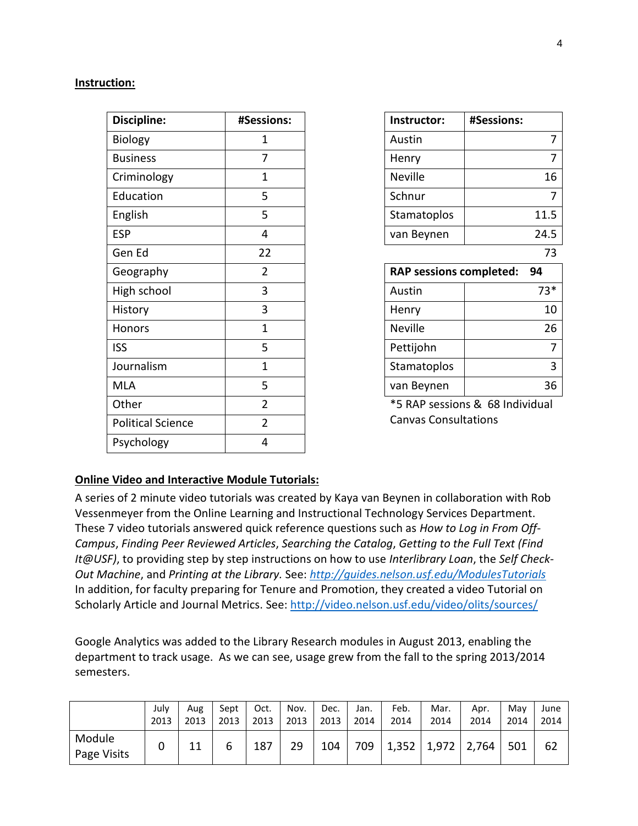#### **Instruction:**

| Discipline:              | #Sessions:     | Instructor:                    | #Sessions:                      |
|--------------------------|----------------|--------------------------------|---------------------------------|
| Biology                  | $\mathbf{1}$   | Austin                         |                                 |
| <b>Business</b>          | 7              | Henry                          |                                 |
| Criminology              | $\mathbf{1}$   | <b>Neville</b>                 | 16                              |
| Education                | 5              | Schnur                         |                                 |
| English                  | 5              | Stamatoplos                    | 11.5                            |
| <b>ESP</b>               | 4              | van Beynen                     | 24.5                            |
| Gen Ed                   | 22             |                                | 73                              |
| Geography                | $\overline{2}$ | <b>RAP sessions completed:</b> | 94                              |
| High school              | 3              | Austin                         | $73*$                           |
| History                  | 3              | Henry                          | 10                              |
| Honors                   | $\mathbf{1}$   | <b>Neville</b>                 | 26                              |
| <b>ISS</b>               | 5              | Pettijohn                      |                                 |
| Journalism               | $\mathbf{1}$   | <b>Stamatoplos</b>             |                                 |
| <b>MLA</b>               | 5              | van Beynen                     | 36                              |
| Other                    | $\overline{2}$ |                                | *5 RAP sessions & 68 Individual |
| <b>Political Science</b> | $\overline{2}$ | <b>Canvas Consultations</b>    |                                 |
| Psychology               | 4              |                                |                                 |
|                          |                |                                |                                 |

| Instructor:                    | #Sessions: |
|--------------------------------|------------|
| Austin                         | 7          |
| Henry                          | 7          |
| Neville                        | 16         |
| Schnur                         | 7          |
| Stamatoplos                    | 11.5       |
| van Beynen                     | 24.5       |
|                                | 73         |
|                                |            |
| <b>RAP sessions completed:</b> | 94         |
| Austin                         | $73*$      |
| Henry                          | 10         |
| Neville                        | 26         |
| Pettijohn                      | 7          |
| Stamatoplos                    | 3          |
| van Beynen                     | 36         |

## **Online Video and Interactive Module Tutorials:**

A series of 2 minute video tutorials was created by Kaya van Beynen in collaboration with Rob Vessenmeyer from the Online Learning and Instructional Technology Services Department. These 7 video tutorials answered quick reference questions such as *How to Log in From Off-Campus*, *Finding Peer Reviewed Articles*, *Searching the Catalog*, *Getting to the Full Text (Find It@USF)*, to providing step by step instructions on how to use *Interlibrary Loan*, the *Self Check-Out Machine*, and *Printing at the Library.* See: *<http://guides.nelson.usf.edu/ModulesTutorials>* In addition, for faculty preparing for Tenure and Promotion, they created a video Tutorial on Scholarly Article and Journal Metrics. See:<http://video.nelson.usf.edu/video/olits/sources/>

Google Analytics was added to the Library Research modules in August 2013, enabling the department to track usage. As we can see, usage grew from the fall to the spring 2013/2014 semesters.

|                       | July | Aug  | Sept | Oct. | Nov. | Dec. | Jan. | Feb.  | Mar.  | Apr.  | Mav  | June |
|-----------------------|------|------|------|------|------|------|------|-------|-------|-------|------|------|
|                       | 2013 | 2013 | 2013 | 2013 | 2013 | 2013 | 2014 | 2014  | 2014  | 2014  | 2014 | 2014 |
| Module<br>Page Visits |      | 11   | b    | 187  | 29   | 104  | 709  | 1,352 | 1,972 | 1,764 | 501  | 62   |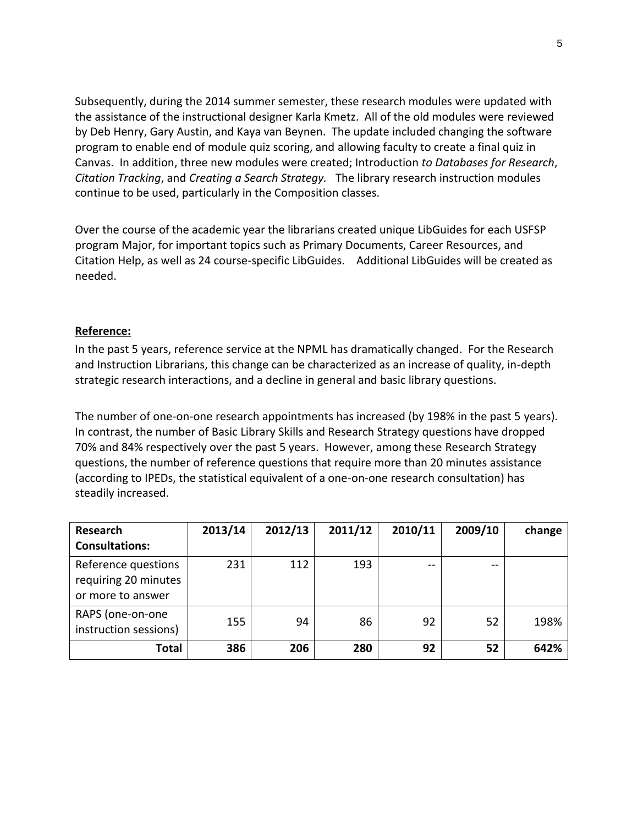Subsequently, during the 2014 summer semester, these research modules were updated with the assistance of the instructional designer Karla Kmetz. All of the old modules were reviewed by Deb Henry, Gary Austin, and Kaya van Beynen. The update included changing the software program to enable end of module quiz scoring, and allowing faculty to create a final quiz in Canvas. In addition, three new modules were created; Introduction *to Databases for Research*, *Citation Tracking*, and *Creating a Search Strategy.* The library research instruction modules continue to be used, particularly in the Composition classes.

Over the course of the academic year the librarians created unique LibGuides for each USFSP program Major, for important topics such as Primary Documents, Career Resources, and Citation Help, as well as 24 course-specific LibGuides. Additional LibGuides will be created as needed.

## **Reference:**

In the past 5 years, reference service at the NPML has dramatically changed. For the Research and Instruction Librarians, this change can be characterized as an increase of quality, in-depth strategic research interactions, and a decline in general and basic library questions.

The number of one-on-one research appointments has increased (by 198% in the past 5 years). In contrast, the number of Basic Library Skills and Research Strategy questions have dropped 70% and 84% respectively over the past 5 years. However, among these Research Strategy questions, the number of reference questions that require more than 20 minutes assistance (according to IPEDs, the statistical equivalent of a one-on-one research consultation) has steadily increased.

| <b>Research</b>                                                  | 2013/14 | 2012/13 | 2011/12 | 2010/11 | 2009/10 | change |
|------------------------------------------------------------------|---------|---------|---------|---------|---------|--------|
| <b>Consultations:</b>                                            |         |         |         |         |         |        |
| Reference questions<br>requiring 20 minutes<br>or more to answer | 231     | 112     | 193     | $-$     | --      |        |
| RAPS (one-on-one<br>instruction sessions)                        | 155     | 94      | 86      | 92      | 52      | 198%   |
| Total                                                            | 386     | 206     | 280     | 92      | 52      | 642%   |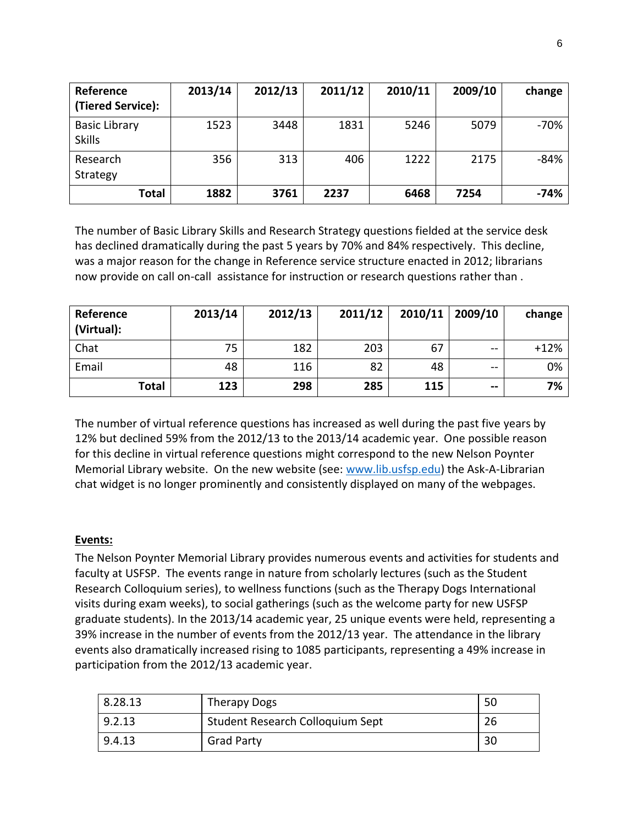| Reference<br>(Tiered Service):        | 2013/14 | 2012/13 | 2011/12 | 2010/11 | 2009/10 | change |
|---------------------------------------|---------|---------|---------|---------|---------|--------|
| <b>Basic Library</b><br><b>Skills</b> | 1523    | 3448    | 1831    | 5246    | 5079    | $-70%$ |
| Research<br>Strategy                  | 356     | 313     | 406     | 1222    | 2175    | $-84%$ |
| <b>Total</b>                          | 1882    | 3761    | 2237    | 6468    | 7254    | $-74%$ |

The number of Basic Library Skills and Research Strategy questions fielded at the service desk has declined dramatically during the past 5 years by 70% and 84% respectively. This decline, was a major reason for the change in Reference service structure enacted in 2012; librarians now provide on call on-call assistance for instruction or research questions rather than .

| Reference<br>(Virtual): | 2013/14 | 2012/13 | 2011/12 | 2010/11 | 2009/10       | change |
|-------------------------|---------|---------|---------|---------|---------------|--------|
| Chat                    | 75      | 182     | 203     | 67      | $- -$         | $+12%$ |
| Email                   | 48      | 116     | 82      | 48      | $-1$          | 0%     |
| <b>Total</b>            | 123     | 298     | 285     | 115     | $\sim$ $\sim$ | 7%     |

The number of virtual reference questions has increased as well during the past five years by 12% but declined 59% from the 2012/13 to the 2013/14 academic year. One possible reason for this decline in virtual reference questions might correspond to the new Nelson Poynter Memorial Library website. On the new website (see: [www.lib.usfsp.edu\)](http://www.lib.usfsp.edu/) the Ask-A-Librarian chat widget is no longer prominently and consistently displayed on many of the webpages.

## **Events:**

The Nelson Poynter Memorial Library provides numerous events and activities for students and faculty at USFSP. The events range in nature from scholarly lectures (such as the Student Research Colloquium series), to wellness functions (such as the Therapy Dogs International visits during exam weeks), to social gatherings (such as the welcome party for new USFSP graduate students). In the 2013/14 academic year, 25 unique events were held, representing a 39% increase in the number of events from the 2012/13 year. The attendance in the library events also dramatically increased rising to 1085 participants, representing a 49% increase in participation from the 2012/13 academic year.

| 8.28.13 | <b>Therapy Dogs</b>              | 50 |
|---------|----------------------------------|----|
| 9.2.13  | Student Research Colloquium Sept | 26 |
| 9.4.13  | <b>Grad Party</b>                | 30 |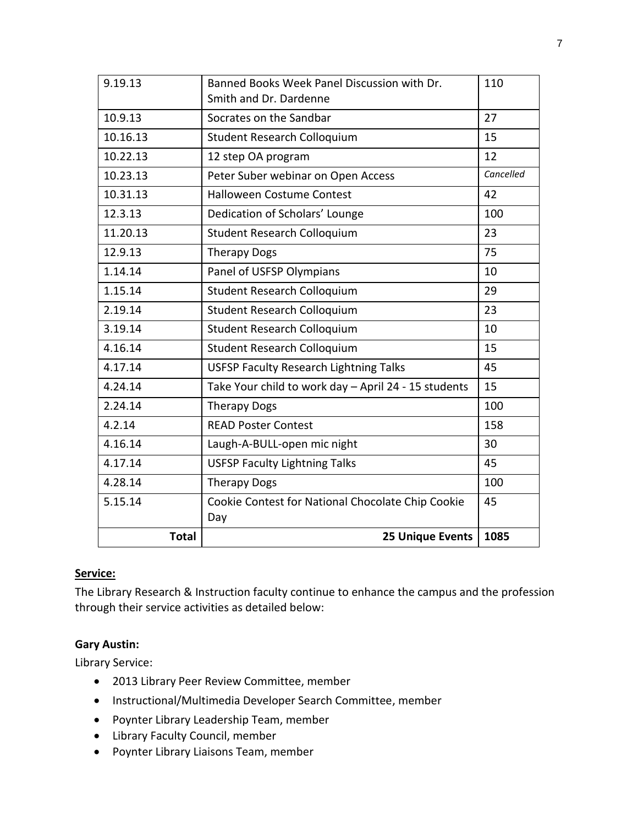| 9.19.13      | Banned Books Week Panel Discussion with Dr.<br>Smith and Dr. Dardenne | 110       |
|--------------|-----------------------------------------------------------------------|-----------|
| 10.9.13      | Socrates on the Sandbar                                               | 27        |
| 10.16.13     | Student Research Colloquium                                           | 15        |
| 10.22.13     | 12 step OA program                                                    | 12        |
| 10.23.13     | Peter Suber webinar on Open Access                                    | Cancelled |
| 10.31.13     | <b>Halloween Costume Contest</b>                                      | 42        |
| 12.3.13      | Dedication of Scholars' Lounge                                        | 100       |
| 11.20.13     | <b>Student Research Colloquium</b>                                    | 23        |
| 12.9.13      | <b>Therapy Dogs</b>                                                   | 75        |
| 1.14.14      | Panel of USFSP Olympians                                              | 10        |
| 1.15.14      | Student Research Colloquium                                           | 29        |
| 2.19.14      | Student Research Colloquium                                           | 23        |
| 3.19.14      | Student Research Colloquium                                           | 10        |
| 4.16.14      | Student Research Colloquium                                           | 15        |
| 4.17.14      | <b>USFSP Faculty Research Lightning Talks</b>                         | 45        |
| 4.24.14      | Take Your child to work day - April 24 - 15 students                  | 15        |
| 2.24.14      | <b>Therapy Dogs</b>                                                   | 100       |
| 4.2.14       | <b>READ Poster Contest</b>                                            | 158       |
| 4.16.14      | Laugh-A-BULL-open mic night                                           | 30        |
| 4.17.14      | <b>USFSP Faculty Lightning Talks</b>                                  | 45        |
| 4.28.14      | <b>Therapy Dogs</b>                                                   | 100       |
| 5.15.14      | Cookie Contest for National Chocolate Chip Cookie                     | 45        |
|              | Day                                                                   |           |
| <b>Total</b> | <b>25 Unique Events</b>                                               | 1085      |

## **Service:**

The Library Research & Instruction faculty continue to enhance the campus and the profession through their service activities as detailed below:

# **Gary Austin:**

Library Service:

- 2013 Library Peer Review Committee, member
- Instructional/Multimedia Developer Search Committee, member
- Poynter Library Leadership Team, member
- Library Faculty Council, member
- Poynter Library Liaisons Team, member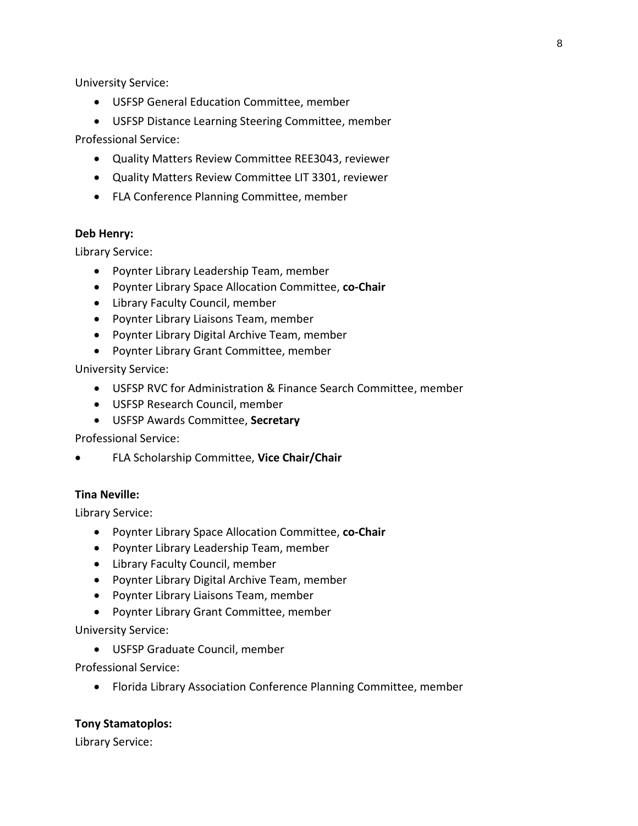University Service:

- USFSP General Education Committee, member
- USFSP Distance Learning Steering Committee, member

Professional Service:

- Quality Matters Review Committee REE3043, reviewer
- Quality Matters Review Committee LIT 3301, reviewer
- FLA Conference Planning Committee, member

## **Deb Henry:**

Library Service:

- Poynter Library Leadership Team, member
- Poynter Library Space Allocation Committee, **co-Chair**
- Library Faculty Council, member
- Poynter Library Liaisons Team, member
- Poynter Library Digital Archive Team, member
- Poynter Library Grant Committee, member

University Service:

- USFSP RVC for Administration & Finance Search Committee, member
- USFSP Research Council, member
- USFSP Awards Committee, **Secretary**

Professional Service:

FLA Scholarship Committee, **Vice Chair/Chair**

# **Tina Neville:**

Library Service:

- Poynter Library Space Allocation Committee, **co-Chair**
- Poynter Library Leadership Team, member
- Library Faculty Council, member
- Poynter Library Digital Archive Team, member
- Poynter Library Liaisons Team, member
- Poynter Library Grant Committee, member

University Service:

USFSP Graduate Council, member

Professional Service:

Florida Library Association Conference Planning Committee, member

## **Tony Stamatoplos:**

Library Service: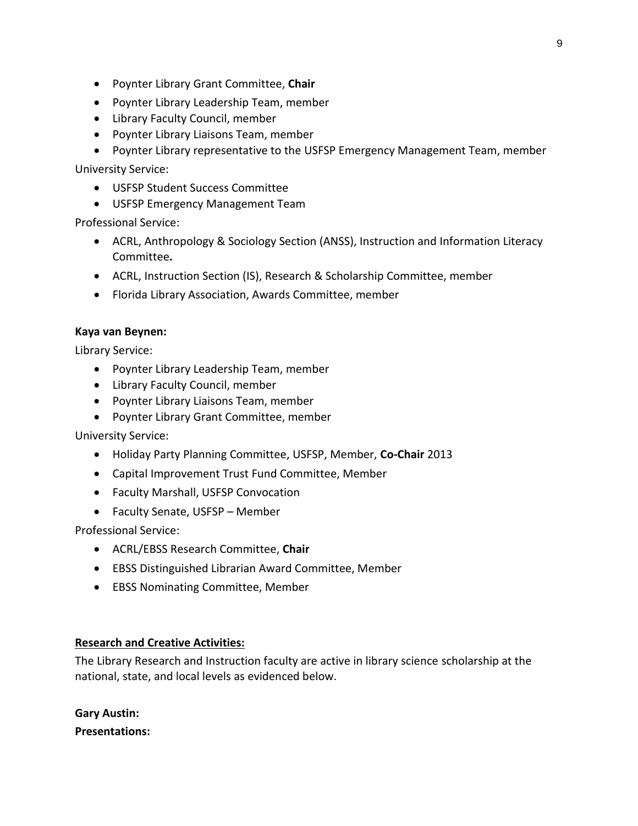- Poynter Library Grant Committee, **Chair**
- Poynter Library Leadership Team, member
- Library Faculty Council, member
- Poynter Library Liaisons Team, member

• Poynter Library representative to the USFSP Emergency Management Team, member

University Service:

- USFSP Student Success Committee
- USFSP Emergency Management Team

Professional Service:

- ACRL, Anthropology & Sociology Section (ANSS), Instruction and Information Literacy Committee**.**
- ACRL, Instruction Section (IS), Research & Scholarship Committee, member
- Florida Library Association, Awards Committee, member

#### **Kaya van Beynen:**

Library Service:

- Poynter Library Leadership Team, member
- Library Faculty Council, member
- Poynter Library Liaisons Team, member
- Poynter Library Grant Committee, member

University Service:

- Holiday Party Planning Committee, USFSP, Member, **Co-Chair** 2013
- Capital Improvement Trust Fund Committee, Member
- Faculty Marshall, USFSP Convocation
- Faculty Senate, USFSP Member

Professional Service:

- ACRL/EBSS Research Committee, **Chair**
- EBSS Distinguished Librarian Award Committee, Member
- EBSS Nominating Committee, Member

#### **Research and Creative Activities:**

The Library Research and Instruction faculty are active in library science scholarship at the national, state, and local levels as evidenced below.

**Gary Austin: Presentations:**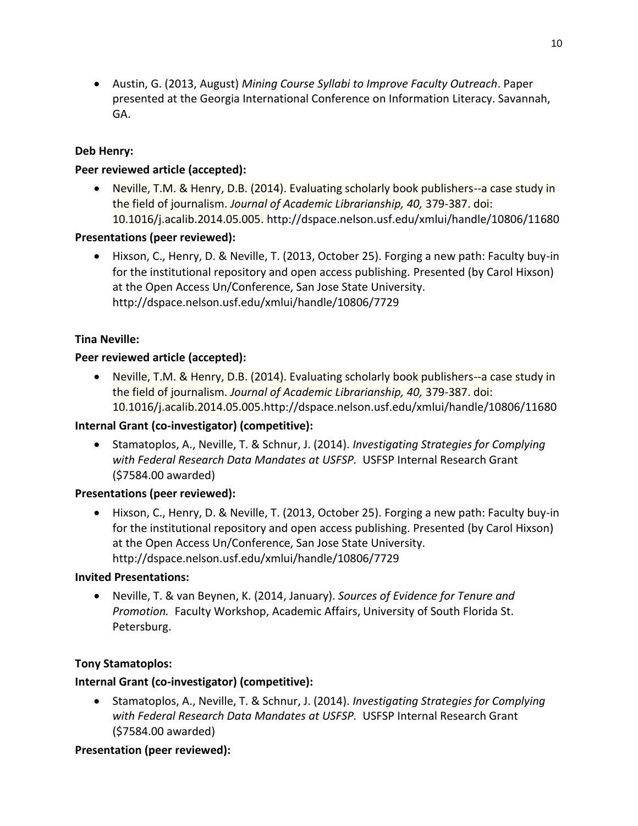Austin, G. (2013, August) *Mining Course Syllabi to Improve Faculty Outreach*. Paper presented at the Georgia International Conference on Information Literacy. Savannah, GA.

# **Deb Henry:**

# **Peer reviewed article (accepted):**

• Neville, T.M. & Henry, D.B. (2014). Evaluating scholarly book publishers--a case study in the field of journalism. *Journal of Academic Librarianship, 40,* 379-387. doi: 10.1016/j.acalib.2014.05.005. http://dspace.nelson.usf.edu/xmlui/handle/10806/11680

# **Presentations (peer reviewed):**

 Hixson, C., Henry, D. & Neville, T. (2013, October 25). Forging a new path: Faculty buy-in for the institutional repository and open access publishing. Presented (by Carol Hixson) at the Open Access Un/Conference, San Jose State University. http://dspace.nelson.usf.edu/xmlui/handle/10806/7729

# **Tina Neville:**

# **Peer reviewed article (accepted):**

 Neville, T.M. & Henry, D.B. (2014). Evaluating scholarly book publishers--a case study in the field of journalism. *Journal of Academic Librarianship, 40,* 379-387. doi: 10.1016/j.acalib.2014.05.005.http://dspace.nelson.usf.edu/xmlui/handle/10806/11680

# **Internal Grant (co-investigator) (competitive):**

 Stamatoplos, A., Neville, T. & Schnur, J. (2014). *Investigating Strategies for Complying with Federal Research Data Mandates at USFSP.* USFSP Internal Research Grant (\$7584.00 awarded)

## **Presentations (peer reviewed):**

 Hixson, C., Henry, D. & Neville, T. (2013, October 25). Forging a new path: Faculty buy-in for the institutional repository and open access publishing. Presented (by Carol Hixson) at the Open Access Un/Conference, San Jose State University. http://dspace.nelson.usf.edu/xmlui/handle/10806/7729

## **Invited Presentations:**

 Neville, T. & van Beynen, K. (2014, January). *Sources of Evidence for Tenure and Promotion.* Faculty Workshop, Academic Affairs, University of South Florida St. Petersburg.

## **Tony Stamatoplos:**

# **Internal Grant (co-investigator) (competitive):**

 Stamatoplos, A., Neville, T. & Schnur, J. (2014). *Investigating Strategies for Complying with Federal Research Data Mandates at USFSP.* USFSP Internal Research Grant (\$7584.00 awarded)

## **Presentation (peer reviewed):**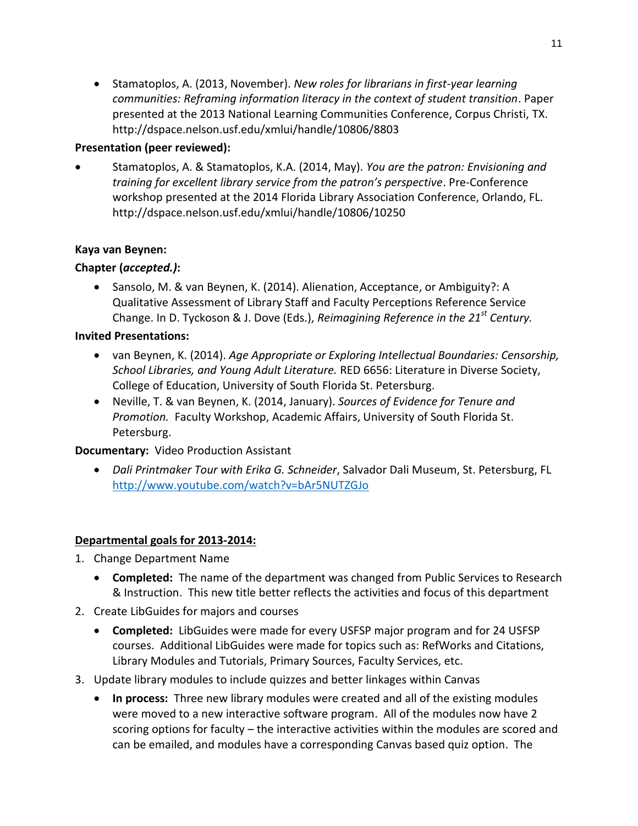Stamatoplos, A. (2013, November). *New roles for librarians in first-year learning communities: Reframing information literacy in the context of student transition*. Paper presented at the 2013 National Learning Communities Conference, Corpus Christi, TX. http://dspace.nelson.usf.edu/xmlui/handle/10806/8803

# **Presentation (peer reviewed):**

 Stamatoplos, A. & Stamatoplos, K.A. (2014, May). *You are the patron: Envisioning and training for excellent library service from the patron's perspective*. Pre-Conference workshop presented at the 2014 Florida Library Association Conference, Orlando, FL. http://dspace.nelson.usf.edu/xmlui/handle/10806/10250

# **Kaya van Beynen:**

# **Chapter (***accepted.)***:**

 Sansolo, M. & van Beynen, K. (2014). Alienation, Acceptance, or Ambiguity?: A Qualitative Assessment of Library Staff and Faculty Perceptions Reference Service Change. In D. Tyckoson & J. Dove (Eds.), *Reimagining Reference in the 21st Century.*

# **Invited Presentations:**

- van Beynen, K. (2014). *Age Appropriate or Exploring Intellectual Boundaries: Censorship, School Libraries, and Young Adult Literature.* RED 6656: Literature in Diverse Society, College of Education, University of South Florida St. Petersburg.
- Neville, T. & van Beynen, K. (2014, January). *Sources of Evidence for Tenure and Promotion.* Faculty Workshop, Academic Affairs, University of South Florida St. Petersburg.

# **Documentary:** Video Production Assistant

 *Dali Printmaker Tour with Erika G. Schneider*, Salvador Dali Museum, St. Petersburg, FL <http://www.youtube.com/watch?v=bAr5NUTZGJo>

# **Departmental goals for 2013-2014:**

- 1. Change Department Name
	- **Completed:** The name of the department was changed from Public Services to Research & Instruction. This new title better reflects the activities and focus of this department
- 2. Create LibGuides for majors and courses
	- **Completed:** LibGuides were made for every USFSP major program and for 24 USFSP courses. Additional LibGuides were made for topics such as: RefWorks and Citations, Library Modules and Tutorials, Primary Sources, Faculty Services, etc.
- 3. Update library modules to include quizzes and better linkages within Canvas
	- **In process:** Three new library modules were created and all of the existing modules were moved to a new interactive software program. All of the modules now have 2 scoring options for faculty – the interactive activities within the modules are scored and can be emailed, and modules have a corresponding Canvas based quiz option. The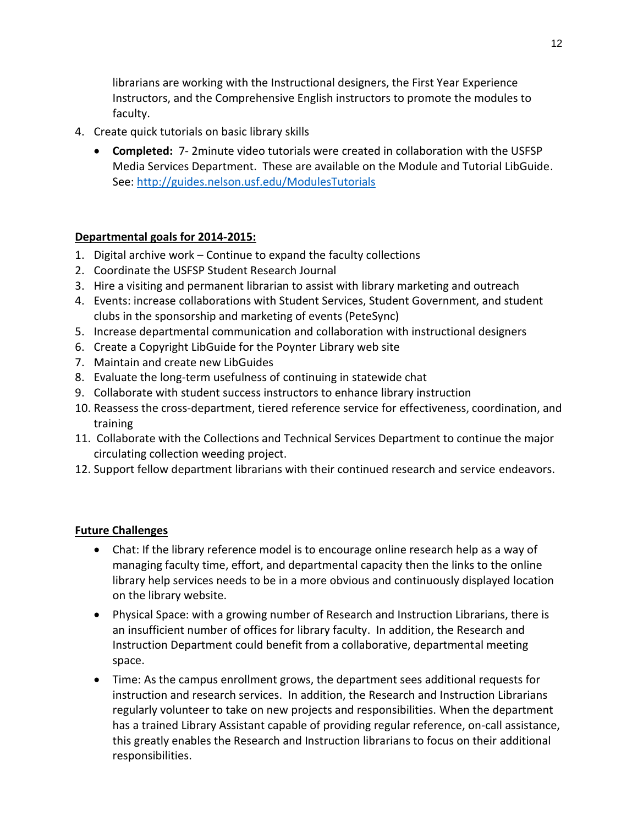librarians are working with the Instructional designers, the First Year Experience Instructors, and the Comprehensive English instructors to promote the modules to faculty.

- 4. Create quick tutorials on basic library skills
	- **Completed:** 7- 2minute video tutorials were created in collaboration with the USFSP Media Services Department. These are available on the Module and Tutorial LibGuide. See:<http://guides.nelson.usf.edu/ModulesTutorials>

# **Departmental goals for 2014-2015:**

- 1. Digital archive work Continue to expand the faculty collections
- 2. Coordinate the USFSP Student Research Journal
- 3. Hire a visiting and permanent librarian to assist with library marketing and outreach
- 4. Events: increase collaborations with Student Services, Student Government, and student clubs in the sponsorship and marketing of events (PeteSync)
- 5. Increase departmental communication and collaboration with instructional designers
- 6. Create a Copyright LibGuide for the Poynter Library web site
- 7. Maintain and create new LibGuides
- 8. Evaluate the long-term usefulness of continuing in statewide chat
- 9. Collaborate with student success instructors to enhance library instruction
- 10. Reassess the cross-department, tiered reference service for effectiveness, coordination, and training
- 11. Collaborate with the Collections and Technical Services Department to continue the major circulating collection weeding project.
- 12. Support fellow department librarians with their continued research and service endeavors.

# **Future Challenges**

- Chat: If the library reference model is to encourage online research help as a way of managing faculty time, effort, and departmental capacity then the links to the online library help services needs to be in a more obvious and continuously displayed location on the library website.
- Physical Space: with a growing number of Research and Instruction Librarians, there is an insufficient number of offices for library faculty. In addition, the Research and Instruction Department could benefit from a collaborative, departmental meeting space.
- Time: As the campus enrollment grows, the department sees additional requests for instruction and research services. In addition, the Research and Instruction Librarians regularly volunteer to take on new projects and responsibilities. When the department has a trained Library Assistant capable of providing regular reference, on-call assistance, this greatly enables the Research and Instruction librarians to focus on their additional responsibilities.